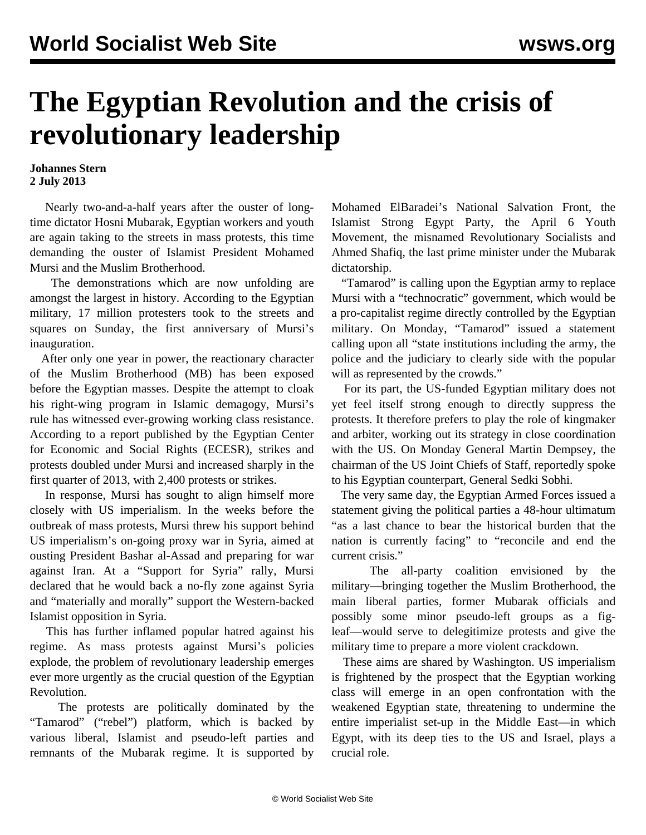## **The Egyptian Revolution and the crisis of revolutionary leadership**

## **Johannes Stern 2 July 2013**

 Nearly two-and-a-half years after the ouster of longtime dictator Hosni Mubarak, Egyptian workers and youth are again taking to the streets in mass protests, this time demanding the ouster of Islamist President Mohamed Mursi and the Muslim Brotherhood.

 The demonstrations which are now unfolding are amongst the largest in history. According to the Egyptian military, 17 million protesters took to the streets and squares on Sunday, the first anniversary of Mursi's inauguration.

 After only one year in power, the reactionary character of the Muslim Brotherhood (MB) has been exposed before the Egyptian masses. Despite the attempt to cloak his right-wing program in Islamic demagogy, Mursi's rule has witnessed ever-growing working class resistance. According to a report published by the Egyptian Center for Economic and Social Rights (ECESR), strikes and protests doubled under Mursi and increased sharply in the first quarter of 2013, with 2,400 protests or strikes.

 In response, Mursi has sought to align himself more closely with US imperialism. In the weeks before the outbreak of mass protests, Mursi threw his support behind US imperialism's on-going proxy war in Syria, aimed at ousting President Bashar al-Assad and preparing for war against Iran. At a "Support for Syria" rally, Mursi declared that he would back a no-fly zone against Syria and "materially and morally" support the Western-backed Islamist opposition in Syria.

 This has further inflamed popular hatred against his regime. As mass protests against Mursi's policies explode, the problem of revolutionary leadership emerges ever more urgently as the crucial question of the Egyptian Revolution.

 The protests are politically dominated by the "Tamarod" ("rebel") platform, which is backed by various liberal, Islamist and pseudo-left parties and remnants of the Mubarak regime. It is supported by

Mohamed ElBaradei's National Salvation Front, the Islamist Strong Egypt Party, the April 6 Youth Movement, the misnamed Revolutionary Socialists and Ahmed Shafiq, the last prime minister under the Mubarak dictatorship.

 "Tamarod" is calling upon the Egyptian army to replace Mursi with a "technocratic" government, which would be a pro-capitalist regime directly controlled by the Egyptian military. On Monday, "Tamarod" issued a statement calling upon all "state institutions including the army, the police and the judiciary to clearly side with the popular will as represented by the crowds."

 For its part, the US-funded Egyptian military does not yet feel itself strong enough to directly suppress the protests. It therefore prefers to play the role of kingmaker and arbiter, working out its strategy in close coordination with the US. On Monday General Martin Dempsey, the chairman of the US Joint Chiefs of Staff, reportedly spoke to his Egyptian counterpart, General Sedki Sobhi.

 The very same day, the Egyptian Armed Forces issued a statement giving the political parties a 48-hour ultimatum "as a last chance to bear the historical burden that the nation is currently facing" to "reconcile and end the current crisis."

 The all-party coalition envisioned by the military—bringing together the Muslim Brotherhood, the main liberal parties, former Mubarak officials and possibly some minor pseudo-left groups as a figleaf—would serve to delegitimize protests and give the military time to prepare a more violent crackdown.

 These aims are shared by Washington. US imperialism is frightened by the prospect that the Egyptian working class will emerge in an open confrontation with the weakened Egyptian state, threatening to undermine the entire imperialist set-up in the Middle East—in which Egypt, with its deep ties to the US and Israel, plays a crucial role.